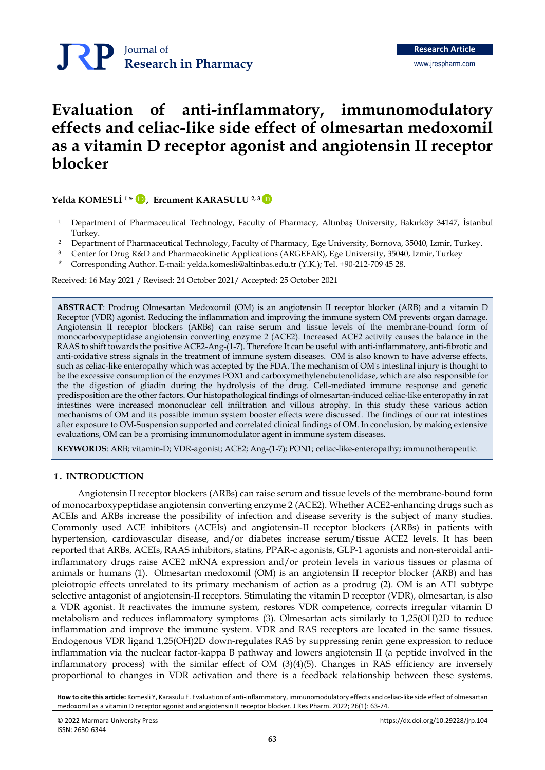## Journal of **Research in Pharmacy**

# **Evaluation of anti-inflammatory, immunomodulatory effects and celiac-like side effect of olmesartan medoxomil as a vitamin D receptor agonist and angiotensin II receptor blocker**

**Yelda KOMESLİ <sup>1</sup> \* , Ercument KARASULU 2, <sup>3</sup>** [İD](https://orcid.org/0000-0001-8086-6506) [İD](https://orcid.org/0000-0002-3992-6201)

- <sup>1</sup> Department of Pharmaceutical Technology, Faculty of Pharmacy, Altınbaş University, Bakırköy 34147, İstanbul Turkey.
- <sup>2</sup> Department of Pharmaceutical Technology, Faculty of Pharmacy, Ege University, Bornova, 35040, Izmir, Turkey.
- <sup>3</sup> Center for Drug R&D and Pharmacokinetic Applications (ARGEFAR), Ege University, 35040, Izmir, Turkey
- \* Corresponding Author. E-mail[: yelda.komesli@altinbas.edu.tr](mailto:yelda.komesli@altinbas.edu.tr) (Y.K.); Tel. +90-212-709 45 28.

Received: 16 May 2021 / Revised: 24 October 2021/ Accepted: 25 October 2021

**ABSTRACT**: Prodrug Olmesartan Medoxomil (OM) is an angiotensin II receptor blocker (ARB) and a vitamin D Receptor (VDR) agonist. Reducing the inflammation and improving the immune system OM prevents organ damage. Angiotensin II receptor blockers (ARBs) can raise serum and tissue levels of the membrane-bound form of monocarboxypeptidase angiotensin converting enzyme 2 (ACE2). Increased ACE2 activity causes the balance in the RAAS to shift towards the positive ACE2-Ang-(1-7). Therefore It can be useful with anti-inflammatory, anti-fibrotic and anti-oxidative stress signals in the treatment of immune system diseases. OM is also known to have adverse effects, such as celiac-like enteropathy which was accepted by the FDA. The mechanism of OM's intestinal injury is thought to be the excessive consumption of the enzymes POX1 and carboxymethylenebutenolidase, which are also responsible for the the digestion of gliadin during the hydrolysis of the drug. Cell-mediated immune response and genetic predisposition are the other factors. Our histopathological findings of olmesartan-induced celiac-like enteropathy in rat intestines were increased mononuclear cell infiltration and villous atrophy. In this study these various action mechanisms of OM and its possible immun system booster effects were discussed. The findings of our rat intestines after exposure to OM-Suspension supported and correlated clinical findings of OM. In conclusion, by making extensive evaluations, OM can be a promising immunomodulator agent in immune system diseases.

**KEYWORDS**: ARB; vitamin-D; VDR-agonist; ACE2; Ang-(1-7); PON1; celiac-like-enteropathy; immunotherapeutic.

## **1. INTRODUCTION**

Angiotensin II receptor blockers (ARBs) can raise serum and tissue levels of the membrane-bound form of monocarboxypeptidase angiotensin converting enzyme 2 (ACE2). Whether ACE2-enhancing drugs such as ACEIs and ARBs increase the possibility of infection and disease severity is the subject of many studies. Commonly used ACE inhibitors (ACEIs) and angiotensin-II receptor blockers (ARBs) in patients with hypertension, cardiovascular disease, and/or diabetes increase serum/tissue ACE2 levels. It has been reported that ARBs, ACEIs, RAAS inhibitors, statins, PPAR-c agonists, GLP-1 agonists and non-steroidal antiinflammatory drugs raise ACE2 mRNA expression and/or protein levels in various tissues or plasma of animals or humans (1). Olmesartan medoxomil (OM) is an angiotensin II receptor blocker (ARB) and has pleiotropic effects unrelated to its primary mechanism of action as a prodrug (2). OM is an AT1 subtype selective antagonist of angiotensin-II receptors. Stimulating the vitamin D receptor (VDR), olmesartan, is also a VDR agonist. It reactivates the immune system, restores VDR competence, corrects irregular vitamin D metabolism and reduces inflammatory symptoms (3). Olmesartan acts similarly to 1,25(OH)2D to reduce inflammation and improve the immune system. VDR and RAS receptors are located in the same tissues. Endogenous VDR ligand 1,25(OH)2D down-regulates RAS by suppressing renin gene expression to reduce inflammation via the nuclear factor-kappa B pathway and lowers angiotensin II (a peptide involved in the inflammatory process) with the similar effect of  $OM(3)(4)(5)$ . Changes in RAS efficiency are inversely proportional to changes in VDR activation and there is a feedback relationship between these systems.

**How to cite this article:** Komesli Y, Karasulu E. Evaluation of anti-inflammatory, immunomodulatory effects and celiac-like side effect of olmesartan medoxomil as a vitamin D receptor agonist and angiotensin II receptor blocker. J Res Pharm. 2022; 26(1): 63-74.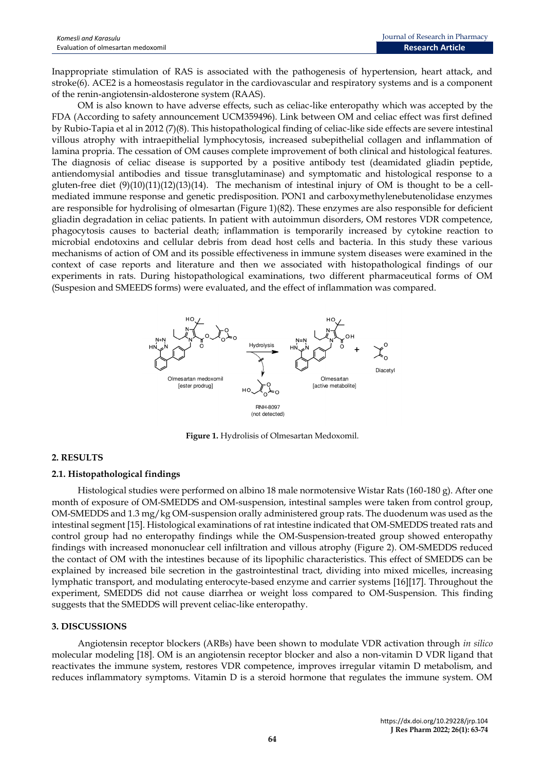Inappropriate stimulation of RAS is associated with the pathogenesis of hypertension, heart attack, and stroke(6). ACE2 is a homeostasis regulator in the cardiovascular and respiratory systems and is a component of the renin-angiotensin-aldosterone system (RAAS).

OM is also known to have adverse effects, such as celiac-like enteropathy which was accepted by the FDA (According to safety announcement UCM359496). Link between OM and celiac effect was first defined by Rubio-Tapia et al in 2012 (7)(8). This histopathological finding of celiac-like side effects are severe intestinal villous atrophy with intraepithelial lymphocytosis, increased subepithelial collagen and inflammation of lamina propria. The cessation of OM causes complete improvement of both clinical and histological features. The diagnosis of celiac disease is supported by a positive antibody test (deamidated gliadin peptide, antiendomysial antibodies and tissue transglutaminase) and symptomatic and histological response to a gluten-free diet  $(9)(10)(11)(12)(13)(14)$ . The mechanism of intestinal injury of OM is thought to be a cellmediated immune response and genetic predisposition. PON1 and carboxymethylenebutenolidase enzymes are responsible for hydrolising of olmesartan (Figure 1)(82). These enzymes are also responsible for deficient gliadin degradation in celiac patients. In patient with autoimmun disorders, OM restores VDR competence, phagocytosis causes to bacterial death; inflammation is temporarily increased by cytokine reaction to microbial endotoxins and cellular debris from dead host cells and bacteria. In this study these various mechanisms of action of OM and its possible effectiveness in immune system diseases were examined in the context of case reports and literature and then we associated with histopathological findings of our experiments in rats. During histopathological examinations, two different pharmaceutical forms of OM (Suspesion and SMEEDS forms) were evaluated, and the effect of inflammation was compared.



**Figure 1.** Hydrolisis of Olmesartan Medoxomil.

## **2. RESULTS**

## **2.1. Histopathological findings**

Histological studies were performed on albino 18 male normotensive Wistar Rats (160-180 g). After one month of exposure of OM-SMEDDS and OM-suspension, intestinal samples were taken from control group, OM-SMEDDS and 1.3 mg/kg OM-suspension orally administered group rats. The duodenum was used as the intestinal segment [15]. Histological examinations of rat intestine indicated that OM-SMEDDS treated rats and control group had no enteropathy findings while the OM-Suspension-treated group showed enteropathy findings with increased mononuclear cell infiltration and villous atrophy (Figure 2). OM-SMEDDS reduced the contact of OM with the intestines because of its lipophilic characteristics. This effect of SMEDDS can be explained by increased bile secretion in the gastrointestinal tract, dividing into mixed micelles, increasing lymphatic transport, and modulating enterocyte-based enzyme and carrier systems [16][17]. Throughout the experiment, SMEDDS did not cause diarrhea or weight loss compared to OM-Suspension. This finding suggests that the SMEDDS will prevent celiac-like enteropathy.

## **3. DISCUSSIONS**

Angiotensin receptor blockers (ARBs) have been shown to modulate VDR activation through *in silico* molecular modeling [18]. OM is an angiotensin receptor blocker and also a non-vitamin D VDR ligand that reactivates the immune system, restores VDR competence, improves irregular vitamin D metabolism, and reduces inflammatory symptoms. Vitamin D is a steroid hormone that regulates the immune system. OM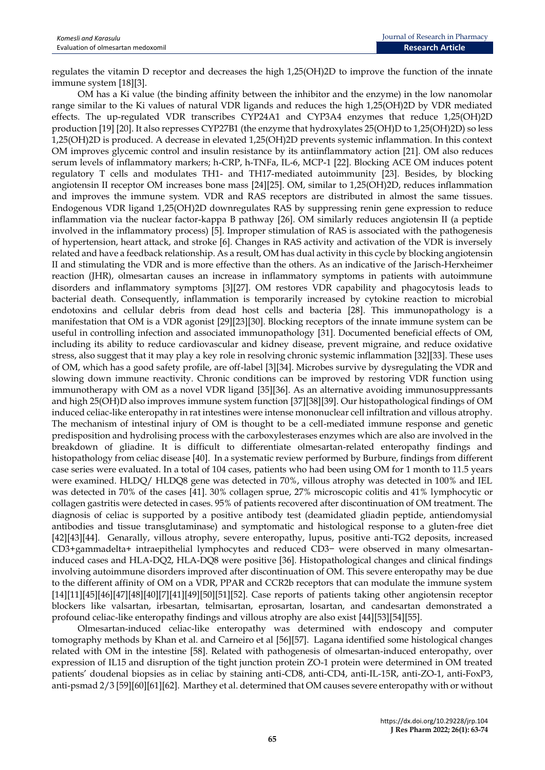regulates the vitamin D receptor and decreases the high 1,25(OH)2D to improve the function of the innate immune system [18][3].

OM has a Ki value (the binding affinity between the inhibitor and the enzyme) in the low nanomolar range similar to the Ki values of natural VDR ligands and reduces the high 1,25(OH)2D by VDR mediated effects. The up-regulated VDR transcribes CYP24A1 and CYP3A4 enzymes that reduce 1,25(OH)2D production [19] [20]. It also represses CYP27B1 (the enzyme that hydroxylates 25(OH)D to 1,25(OH)2D) so less 1,25(OH)2D is produced. A decrease in elevated 1,25(OH)2D prevents systemic inflammation. In this context OM improves glycemic control and insulin resistance by its antiinflammatory action [21]. OM also reduces serum levels of inflammatory markers; h-CRP, h-TNFa, IL-6, MCP-1 [22]. Blocking ACE OM induces potent regulatory T cells and modulates TH1- and TH17-mediated autoimmunity [23]. Besides, by blocking angiotensin II receptor OM increases bone mass [24][25]. OM, similar to 1,25(OH)2D, reduces inflammation and improves the immune system. VDR and RAS receptors are distributed in almost the same tissues. Endogenous VDR ligand 1,25(OH)2D downregulates RAS by suppressing renin gene expression to reduce inflammation via the nuclear factor-kappa B pathway [26]. OM similarly reduces angiotensin II (a peptide involved in the inflammatory process) [5]. Improper stimulation of RAS is associated with the pathogenesis of hypertension, heart attack, and stroke [6]. Changes in RAS activity and activation of the VDR is inversely related and have a feedback relationship. As a result, OM has dual activity in this cycle by blocking angiotensin II and stimulating the VDR and is more effective than the others. As an indicative of the Jarisch-Herxheimer reaction (JHR), olmesartan causes an increase in inflammatory symptoms in patients with autoimmune disorders and inflammatory symptoms [3][27]. OM restores VDR capability and phagocytosis leads to bacterial death. Consequently, inflammation is temporarily increased by cytokine reaction to microbial endotoxins and cellular debris from dead host cells and bacteria [28]. This immunopathology is a manifestation that OM is a VDR agonist [29][23][30]. Blocking receptors of the innate immune system can be useful in controlling infection and associated immunopathology [31]. Documented beneficial effects of OM, including its ability to reduce cardiovascular and kidney disease, prevent migraine, and reduce oxidative stress, also suggest that it may play a key role in resolving chronic systemic inflammation [32][33]. These uses of OM, which has a good safety profile, are off-label [3][34]. Microbes survive by dysregulating the VDR and slowing down immune reactivity. Chronic conditions can be improved by restoring VDR function using immunotherapy with OM as a novel VDR ligand [35][36]. As an alternative avoiding immunosuppressants and high 25(OH)D also improves immune system function [37][38][39]. Our histopathological findings of OM induced celiac-like enteropathy in rat intestines were intense mononuclear cell infiltration and villous atrophy. The mechanism of intestinal injury of OM is thought to be a cell-mediated immune response and genetic predisposition and hydrolising process with the carboxylesterases enzymes which are also are involved in the breakdown of gliadine. It is difficult to differentiate olmesartan-related enteropathy findings and histopathology from celiac disease [40]. In a systematic review performed by Burbure, findings from different case series were evaluated. In a total of 104 cases, patients who had been using OM for 1 month to 11.5 years were examined. HLDQ/ HLDQ8 gene was detected in 70%, villous atrophy was detected in 100% and IEL was detected in 70% of the cases [41]. 30% collagen sprue, 27% microscopic colitis and 41% lymphocytic or collagen gastritis were detected in cases. 95% of patients recovered after discontinuation of OM treatment. The diagnosis of celiac is supported by a positive antibody test (deamidated gliadin peptide, antiendomysial antibodies and tissue transglutaminase) and symptomatic and histological response to a gluten-free diet [42][43][44]. Genarally, villous atrophy, severe enteropathy, lupus, positive anti-TG2 deposits, increased CD3+gammadelta+ intraepithelial lymphocytes and reduced CD3− were observed in many olmesartaninduced cases and HLA-DQ2, HLA-DQ8 were positive [36]. Histopathological changes and clinical findings involving autoimmune disorders improved after discontinuation of OM. This severe enteropathy may be due to the different affinity of OM on a VDR, PPAR and CCR2b receptors that can modulate the immune system [14][11][45][46][47][48][40][7][41][49][50][51][52]. Case reports of patients taking other angiotensin receptor blockers like valsartan, irbesartan, telmisartan, eprosartan, losartan, and candesartan demonstrated a profound celiac-like enteropathy findings and villous atrophy are also exist [44][53][54][55].

Olmesartan-induced celiac-like enteropathy was determined with endoscopy and computer tomography methods by Khan et al. and Carneiro et al [56][57]. Lagana identified some histological changes related with OM in the intestine [58]. Related with pathogenesis of olmesartan-induced enteropathy, over expression of IL15 and disruption of the tight junction protein ZO-1 protein were determined in OM treated patients' doudenal biopsies as in celiac by staining anti-CD8, anti-CD4, anti-IL-15R, anti-ZO-1, anti-FoxP3, anti-psmad 2/3 [59][60][61][62]. Marthey et al. determined that OM causes severe enteropathy with or without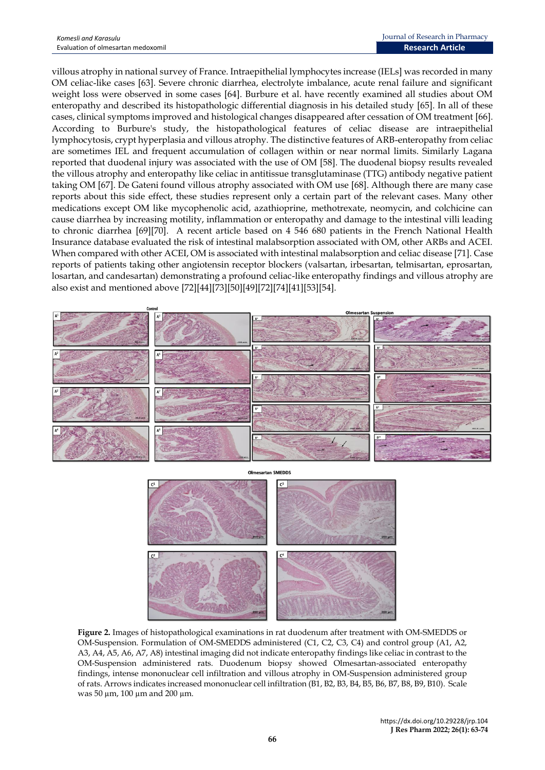villous atrophy in national survey of France. Intraepithelial lymphocytes increase (IELs] was recorded in many OM celiac-like cases [63]. Severe chronic diarrhea, electrolyte imbalance, acute renal failure and significant weight loss were observed in some cases [64]. Burbure et al. have recently examined all studies about OM enteropathy and described its histopathologic differential diagnosis in his detailed study [65]. In all of these cases, clinical symptoms improved and histological changes disappeared after cessation of OM treatment [66]. According to Burbure's study, the histopathological features of celiac disease are intraepithelial lymphocytosis, crypt hyperplasia and villous atrophy. The distinctive features of ARB-enteropathy from celiac are sometimes IEL and frequent accumulation of collagen within or near normal limits. Similarly Lagana reported that duodenal injury was associated with the use of OM [58]. The duodenal biopsy results revealed the villous atrophy and enteropathy like celiac in antitissue transglutaminase (TTG) antibody negative patient taking OM [67]. De Gateni found villous atrophy associated with OM use [68]. Although there are many case reports about this side effect, these studies represent only a certain part of the relevant cases. Many other medications except OM like mycophenolic acid, azathioprine, methotrexate, neomycin, and colchicine can cause diarrhea by increasing motility, inflammation or enteropathy and damage to the intestinal villi leading to chronic diarrhea [69][70]. A recent article based on 4 546 680 patients in the French National Health Insurance database evaluated the risk of intestinal malabsorption associated with OM, other ARBs and ACEI. When compared with other ACEI, OM is associated with intestinal malabsorption and celiac disease [71]. Case reports of patients taking other angiotensin receptor blockers (valsartan, irbesartan, telmisartan, eprosartan, losartan, and candesartan) demonstrating a profound celiac-like enteropathy findings and villous atrophy are also exist and mentioned above [72][44][73][50][49][72][74][41][53][54].





**Figure 2.** Images of histopathological examinations in rat duodenum after treatment with OM-SMEDDS or OM-Suspension. Formulation of OM-SMEDDS administered (C1, C2, C3, C4) and control group (A1, A2, A3, A4, A5, A6, A7, A8) intestinal imaging did not indicate enteropathy findings like celiac in contrast to the OM-Suspension administered rats. Duodenum biopsy showed Olmesartan-associated enteropathy findings, intense mononuclear cell infiltration and villous atrophy in OM-Suspension administered group of rats. Arrows indicates increased mononuclear cell infiltration (B1, B2, B3, B4, B5, B6, B7, B8, B9, B10). Scale was 50 µm, 100 µm and 200 µm.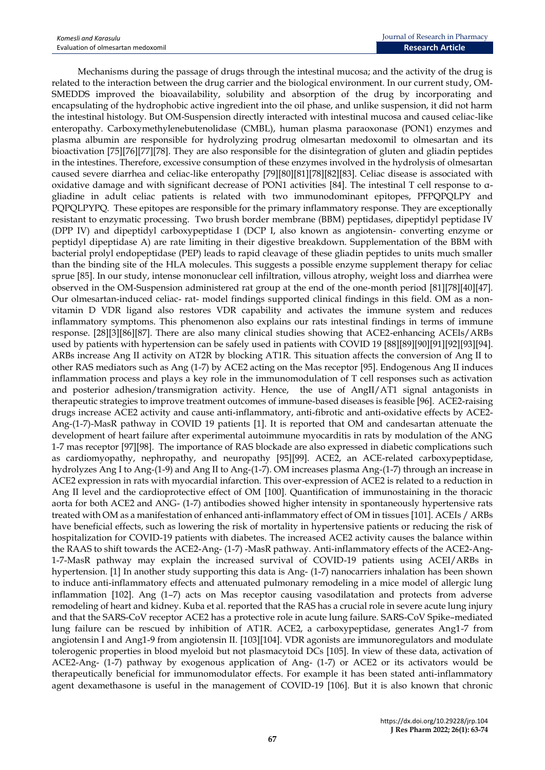Mechanisms during the passage of drugs through the intestinal mucosa; and the activity of the drug is related to the interaction between the drug carrier and the biological environment. In our current study, OM-SMEDDS improved the bioavailability, solubility and absorption of the drug by incorporating and encapsulating of the hydrophobic active ingredient into the oil phase, and unlike suspension, it did not harm the intestinal histology. But OM-Suspension directly interacted with intestinal mucosa and caused celiac-like enteropathy. Carboxymethylenebutenolidase (CMBL), human plasma paraoxonase (PON1) enzymes and plasma albumin are responsible for hydrolyzing prodrug olmesartan medoxomil to olmesartan and its bioactivation [75][76][77][78]. They are also responsible for the disintegration of gluten and gliadin peptides in the intestines. Therefore, excessive consumption of these enzymes involved in the hydrolysis of olmesartan caused severe diarrhea and celiac-like enteropathy [79][80][81][78][82][83]. Celiac disease is associated with oxidative damage and with significant decrease of PON1 activities [84]. The intestinal T cell response to αgliadine in adult celiac patients is related with two immunodominant epitopes, PFPQPQLPY and PQPQLPYPQ. These epitopes are responsible for the primary inflammatory response. They are exceptionally resistant to enzymatic processing. Two brush border membrane (BBM) peptidases, dipeptidyl peptidase IV (DPP IV) and dipeptidyl carboxypeptidase I (DCP I, also known as angiotensin- converting enzyme or peptidyl dipeptidase A) are rate limiting in their digestive breakdown. Supplementation of the BBM with bacterial prolyl endopeptidase (PEP) leads to rapid cleavage of these gliadin peptides to units much smaller than the binding site of the HLA molecules. This suggests a possible enzyme supplement therapy for celiac sprue [85]. In our study, intense mononuclear cell infiltration, villous atrophy, weight loss and diarrhea were observed in the OM-Suspension administered rat group at the end of the one-month period [81][78][40][47]. Our olmesartan-induced celiac- rat- model findings supported clinical findings in this field. OM as a nonvitamin D VDR ligand also restores VDR capability and activates the immune system and reduces inflammatory symptoms. This phenomenon also explains our rats intestinal findings in terms of immune response. [28][3][86][87]. There are also many clinical studies showing that ACE2-enhancing ACEIs/ARBs used by patients with hypertension can be safely used in patients with COVID 19 [88][89][90][91][92][93][94]. ARBs increase Ang II activity on AT2R by blocking AT1R. This situation affects the conversion of Ang II to other RAS mediators such as Ang (1-7) by ACE2 acting on the Mas receptor [95]. Endogenous Ang II induces inflammation process and plays a key role in the immunomodulation of T cell responses such as activation and posterior adhesion/transmigration activity. Hence, the use of AngII/AT1 signal antagonists in therapeutic strategies to improve treatment outcomes of immune-based diseases is feasible [96]. ACE2-raising drugs increase ACE2 activity and cause anti-inflammatory, anti-fibrotic and anti-oxidative effects by ACE2- Ang-(1-7)-MasR pathway in COVID 19 patients [1]. It is reported that OM and candesartan attenuate the development of heart failure after experimental autoimmune myocarditis in rats by modulation of the ANG 1-7 mas receptor [97][98]. The importance of RAS blockade are also expressed in diabetic complications such as cardiomyopathy, nephropathy, and neuropathy [95][99]. ACE2, an ACE-related carboxypeptidase, hydrolyzes Ang I to Ang-(1-9) and Ang II to Ang-(1-7). OM increases plasma Ang-(1-7) through an increase in ACE2 expression in rats with myocardial infarction. This over-expression of ACE2 is related to a reduction in Ang II level and the cardioprotective effect of OM [100]. Quantification of immunostaining in the thoracic aorta for both ACE2 and ANG- (1-7) antibodies showed higher intensity in spontaneously hypertensive rats treated with OM as a manifestation of enhanced anti-inflammatory effect of OM in tissues [101]. ACEIs / ARBs have beneficial effects, such as lowering the risk of mortality in hypertensive patients or reducing the risk of hospitalization for COVID-19 patients with diabetes. The increased ACE2 activity causes the balance within the RAAS to shift towards the ACE2-Ang- (1-7) -MasR pathway. Anti-inflammatory effects of the ACE2-Ang-1-7-MasR pathway may explain the increased survival of COVID-19 patients using ACEI/ARBs in hypertension. [1] In another study supporting this data is Ang- (1-7) nanocarriers inhalation has been shown to induce anti-inflammatory effects and attenuated pulmonary remodeling in a mice model of allergic lung inflammation [102]. Ang (1–7) acts on Mas receptor causing vasodilatation and protects from adverse remodeling of heart and kidney. Kuba et al. reported that the RAS has a crucial role in severe acute lung injury and that the SARS-CoV receptor ACE2 has a protective role in acute lung failure. SARS-CoV Spike–mediated lung failure can be rescued by inhibition of AT1R. ACE2, a carboxypeptidase, generates Ang1-7 from angiotensin I and Ang1-9 from angiotensin II. [103][104]. VDR agonists are immunoregulators and modulate tolerogenic properties in blood myeloid but not plasmacytoid DCs [105]. In view of these data, activation of ACE2-Ang- (1-7) pathway by exogenous application of Ang- (1-7) or ACE2 or its activators would be therapeutically beneficial for immunomodulator effects. For example it has been stated anti-inflammatory agent dexamethasone is useful in the management of COVID-19 [106]. But it is also known that chronic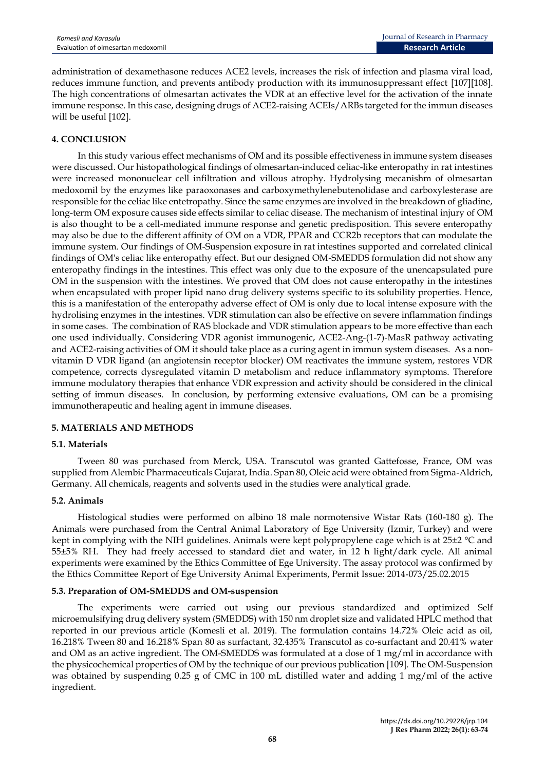administration of dexamethasone reduces ACE2 levels, increases the risk of infection and plasma viral load, reduces immune function, and prevents antibody production with its immunosuppressant effect [107][108]. The high concentrations of olmesartan activates the VDR at an effective level for the activation of the innate immune response. In this case, designing drugs of ACE2-raising ACEIs/ARBs targeted for the immun diseases will be useful [102].

## **4. CONCLUSION**

In this study various effect mechanisms of OM and its possible effectiveness in immune system diseases were discussed. Our histopathological findings of olmesartan-induced celiac-like enteropathy in rat intestines were increased mononuclear cell infiltration and villous atrophy. Hydrolysing mecanishm of olmesartan medoxomil by the enzymes like paraoxonases and carboxymethylenebutenolidase and carboxylesterase are responsible for the celiac like entetropathy. Since the same enzymes are involved in the breakdown of gliadine, long-term OM exposure causes side effects similar to celiac disease. The mechanism of intestinal injury of OM is also thought to be a cell-mediated immune response and genetic predisposition. This severe enteropathy may also be due to the different affinity of OM on a VDR, PPAR and CCR2b receptors that can modulate the immune system. Our findings of OM-Suspension exposure in rat intestines supported and correlated clinical findings of OM's celiac like enteropathy effect. But our designed OM-SMEDDS formulation did not show any enteropathy findings in the intestines. This effect was only due to the exposure of the unencapsulated pure OM in the suspension with the intestines. We proved that OM does not cause enteropathy in the intestines when encapsulated with proper lipid nano drug delivery systems specific to its solubility properties. Hence, this is a manifestation of the enteropathy adverse effect of OM is only due to local intense exposure with the hydrolising enzymes in the intestines. VDR stimulation can also be effective on severe inflammation findings in some cases. The combination of RAS blockade and VDR stimulation appears to be more effective than each one used individually. Considering VDR agonist immunogenic, ACE2-Ang-(1-7)-MasR pathway activating and ACE2-raising activities of OM it should take place as a curing agent in immun system diseases. As a nonvitamin D VDR ligand (an angiotensin receptor blocker) OM reactivates the immune system, restores VDR competence, corrects dysregulated vitamin D metabolism and reduce inflammatory symptoms. Therefore immune modulatory therapies that enhance VDR expression and activity should be considered in the clinical setting of immun diseases. In conclusion, by performing extensive evaluations, OM can be a promising immunotherapeutic and healing agent in immune diseases.

## **5. MATERIALS AND METHODS**

## **5.1. Materials**

Tween 80 was purchased from Merck, USA. Transcutol was granted Gattefosse, France, OM was supplied from Alembic Pharmaceuticals Gujarat, India. Span 80, Oleic acid were obtained from Sigma-Aldrich, Germany. All chemicals, reagents and solvents used in the studies were analytical grade.

#### **5.2. Animals**

Histological studies were performed on albino 18 male normotensive Wistar Rats (160-180 g). The Animals were purchased from the Central Animal Laboratory of Ege University (Izmir, Turkey) and were kept in complying with the NIH guidelines. Animals were kept polypropylene cage which is at 25±2 °C and 55±5% RH. They had freely accessed to standard diet and water, in 12 h light/dark cycle. All animal experiments were examined by the Ethics Committee of Ege University. The assay protocol was confirmed by the Ethics Committee Report of Ege University Animal Experiments, Permit Issue: 2014-073/25.02.2015

#### **5.3. Preparation of OM-SMEDDS and OM-suspension**

The experiments were carried out using our previous standardized and optimized Self microemulsifying drug delivery system (SMEDDS) with 150 nm droplet size and validated HPLC method that reported in our previous article (Komesli et al. 2019). The formulation contains 14.72% Oleic acid as oil, 16.218% Tween 80 and 16.218% Span 80 as surfactant, 32.435% Transcutol as co-surfactant and 20.41% water and OM as an active ingredient. The OM-SMEDDS was formulated at a dose of  $1 \text{ mg/ml}$  in accordance with the physicochemical properties of OM by the technique of our previous publication [109]. The OM-Suspension was obtained by suspending 0.25 g of CMC in 100 mL distilled water and adding 1 mg/ml of the active ingredient.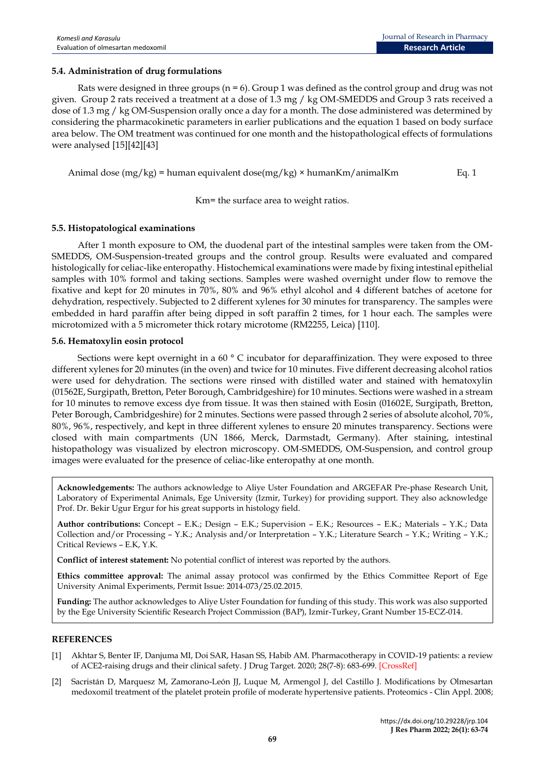## **5.4. Administration of drug formulations**

Rats were designed in three groups  $(n = 6)$ . Group 1 was defined as the control group and drug was not given. Group 2 rats received a treatment at a dose of 1.3 mg / kg OM-SMEDDS and Group 3 rats received a dose of 1.3 mg / kg OM-Suspension orally once a day for a month. The dose administered was determined by considering the pharmacokinetic parameters in earlier publications and the equation 1 based on body surface area below. The OM treatment was continued for one month and the histopathological effects of formulations were analysed [15][42][43]

Animal dose  $(mg/kg)$  = human equivalent dose $(mg/kg)$  × humanKm/animalKm Eq. 1

Km= the surface area to weight ratios.

#### **5.5. Histopatological examinations**

After 1 month exposure to OM, the duodenal part of the intestinal samples were taken from the OM-SMEDDS, OM-Suspension-treated groups and the control group. Results were evaluated and compared histologically for celiac-like enteropathy. Histochemical examinations were made by fixing intestinal epithelial samples with 10% formol and taking sections. Samples were washed overnight under flow to remove the fixative and kept for 20 minutes in 70%, 80% and 96% ethyl alcohol and 4 different batches of acetone for dehydration, respectively. Subjected to 2 different xylenes for 30 minutes for transparency. The samples were embedded in hard paraffin after being dipped in soft paraffin 2 times, for 1 hour each. The samples were microtomized with a 5 micrometer thick rotary microtome (RM2255, Leica) [110].

#### **5.6. Hematoxylin eosin protocol**

Sections were kept overnight in a 60  $^{\circ}$  C incubator for deparaffinization. They were exposed to three different xylenes for 20 minutes (in the oven) and twice for 10 minutes. Five different decreasing alcohol ratios were used for dehydration. The sections were rinsed with distilled water and stained with hematoxylin (01562E, Surgipath, Bretton, Peter Borough, Cambridgeshire) for 10 minutes. Sections were washed in a stream for 10 minutes to remove excess dye from tissue. It was then stained with Eosin (01602E, Surgipath, Bretton, Peter Borough, Cambridgeshire) for 2 minutes. Sections were passed through 2 series of absolute alcohol, 70%, 80%, 96%, respectively, and kept in three different xylenes to ensure 20 minutes transparency. Sections were closed with main compartments (UN 1866, Merck, Darmstadt, Germany). After staining, intestinal histopathology was visualized by electron microscopy. OM-SMEDDS, OM-Suspension, and control group images were evaluated for the presence of celiac-like enteropathy at one month.

**Acknowledgements:** The authors acknowledge to Aliye Uster Foundation and ARGEFAR Pre-phase Research Unit, Laboratory of Experimental Animals, Ege University (Izmir, Turkey) for providing support. They also acknowledge Prof. Dr. Bekir Ugur Ergur for his great supports in histology field.

**Author contributions:** Concept – E.K.; Design – E.K.; Supervision – E.K.; Resources – E.K.; Materials – Y.K.; Data Collection and/or Processing – Y.K.; Analysis and/or Interpretation – Y.K.; Literature Search – Y.K.; Writing – Y.K.; Critical Reviews – E.K, Y.K.

**Conflict of interest statement:** No potential conflict of interest was reported by the authors.

**Ethics committee approval:** The animal assay protocol was confirmed by the Ethics Committee Report of Ege University Animal Experiments, Permit Issue: 2014-073/25.02.2015.

**Funding:** The author acknowledges to Aliye Uster Foundation for funding of this study. This work was also supported by the Ege University Scientific Research Project Commission (BAP), Izmir-Turkey, Grant Number 15-ECZ-014.

#### **REFERENCES**

- [1] Akhtar S, Benter IF, Danjuma MI, Doi SAR, Hasan SS, Habib AM. Pharmacotherapy in COVID-19 patients: a review of ACE2-raising drugs and their clinical safety. J Drug Target. 2020; 28(7-8): 683-699. [\[CrossRef\]](https://doi.org/10.1080/1061186X.2020.1797754)
- [2] Sacristán D, Marquesz M, Zamorano-León JJ, Luque M, Armengol J, del Castillo J. Modifications by Olmesartan medoxomil treatment of the platelet protein profile of moderate hypertensive patients. Proteomics - Clin Appl. 2008;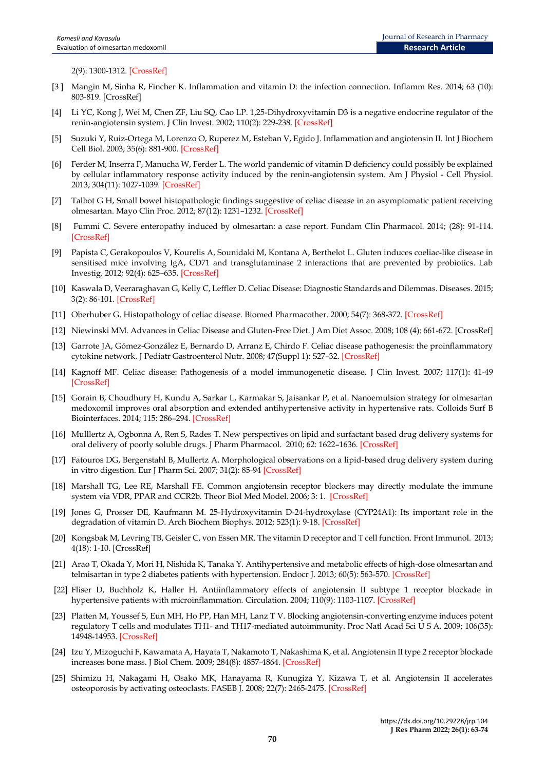2(9): 1300-1312. [\[CrossRef\]](https://doi.org/10.1002/prca.200700021)

- [3] Mangin M, Sinha R, Fincher K. Inflammation and vitamin D: the infection connection. Inflamm Res. 2014; 63 (10): 803-819. [\[CrossRef\]](https://dx.doi.org/10.1007%2Fs00011-014-0755-z)
- [4] Li YC, Kong J, Wei M, Chen ZF, Liu SQ, Cao LP. 1,25-Dihydroxyvitamin D3 is a negative endocrine regulator of the renin-angiotensin system. J Clin Invest. 2002; 110(2): 229-238[. \[CrossRef\]](https://doi.org/10.1172/JCI15219)
- [5] Suzuki Y, Ruiz-Ortega M, Lorenzo O, Ruperez M, Esteban V, Egido J. Inflammation and angiotensin II. Int J Biochem Cell Biol. 2003; 35(6): 881-900[. \[CrossRef\]](https://doi.org/10.1016/s1357-2725(02)00271-6)
- [6] Ferder M, Inserra F, Manucha W, Ferder L. The world pandemic of vitamin D deficiency could possibly be explained by cellular inflammatory response activity induced by the renin-angiotensin system. Am J Physiol - Cell Physiol. 2013; 304(11): 1027-1039. [\[CrossRef\]](https://doi.org/10.1152/ajpcell.00403.2011)
- [7] Talbot G H, Small bowel histopathologic findings suggestive of celiac disease in an asymptomatic patient receiving olmesartan. Mayo Clin Proc. 2012; 87(12): 1231–1232. [\[CrossRef\]](https://pubmed.ncbi.nlm.nih.gov/23218090/)
- [8] Fummi C. Severe enteropathy induced by olmesartan: a case report. Fundam Clin Pharmacol. 2014; (28): 91-114. [\[CrossRef\]](http://doi.wiley.com/10.1111/fcp.12066)
- [9] Papista C, Gerakopoulos V, Kourelis A, Sounidaki M, Kontana A, Berthelot L. Gluten induces coeliac-like disease in sensitised mice involving IgA, CD71 and transglutaminase 2 interactions that are prevented by probiotics. Lab Investig. 2012; 92(4): 625–635. [\[CrossRef\]](https://doi.org/10.1038/labinvest.2012.13)
- [10] Kaswala D, Veeraraghavan G, Kelly C, Leffler D. Celiac Disease: Diagnostic Standards and Dilemmas. Diseases. 2015; 3(2): 86-101[. \[CrossRef\]](https://doi.org/10.3390/diseases3020086)
- [11] Oberhuber G. Histopathology of celiac disease. Biomed Pharmacother. 2000; 54(7): 368-372. [\[CrossRef\]](https://doi.org/10.1016/S0753-3322(01)80003-2)
- [12] Niewinski MM. Advances in Celiac Disease and Gluten-Free Diet. J Am Diet Assoc. 2008; 108 (4): 661-672. [\[CrossRef\]](https://doi.org/10.1016/j.jada.2008.01.011)
- [13] Garrote JA, Gómez-González E, Bernardo D, Arranz E, Chirdo F. Celiac disease pathogenesis: the proinflammatory cytokine network. J Pediatr Gastroenterol Nutr. 2008; 47(Suppl 1): S27–32[. \[CrossRef\]](https://doi.org/10.1097/mpg.0b013e3181818fb9)
- [14] Kagnoff MF. Celiac disease: Pathogenesis of a model immunogenetic disease. J Clin Invest. 2007; 117(1): 41-49 [\[CrossRef\]](https://doi.org/10.1172/JCI30253)
- [15] Gorain B, Choudhury H, Kundu A, Sarkar L, Karmakar S, Jaisankar P, et al. Nanoemulsion strategy for olmesartan medoxomil improves oral absorption and extended antihypertensive activity in hypertensive rats. Colloids Surf B Biointerfaces. 2014; 115: 286–294[. \[CrossRef\]](https://doi.org/10.1016/j.colsurfb.2013.12.016)
- [16] Mulllertz A, Ogbonna A, Ren S, Rades T. New perspectives on lipid and surfactant based drug delivery systems for oral delivery of poorly soluble drugs. J Pharm Pharmacol. 2010; 62: 1622–1636[. \[CrossRef\]](https://doi.org/10.1111/j.2042-7158.2010.01107.x)
- [17] Fatouros DG, Bergenstahl B, Mullertz A. Morphological observations on a lipid-based drug delivery system during in vitro digestion. Eur J Pharm Sci. 2007; 31(2): 85-94 [\[CrossRef\]](https://doi.org/10.1016/j.ejps.2007.02.009)
- [18] Marshall TG, Lee RE, Marshall FE. Common angiotensin receptor blockers may directly modulate the immune system via VDR, PPAR and CCR2b. Theor Biol Med Model. 2006; 3: 1. [\[CrossRef\]](https://doi.org/10.1186/1742-4682-3-1)
- [19] Jones G, Prosser DE, Kaufmann M. 25-Hydroxyvitamin D-24-hydroxylase (CYP24A1): Its important role in the degradation of vitamin D. Arch Biochem Biophys. 2012; 523(1): 9-18. [\[CrossRef\]](https://doi.org/10.1016/j.abb.2011.11.003)
- [20] Kongsbak M, Levring TB, Geisler C, von Essen MR. The vitamin D receptor and T cell function. Front Immunol. 2013; 4(18): 1-10. [\[CrossRef\]](https://doi.org/10.3389/fimmu.2013.00148)
- [21] Arao T, Okada Y, Mori H, Nishida K, Tanaka Y. Antihypertensive and metabolic effects of high-dose olmesartan and telmisartan in type 2 diabetes patients with hypertension. Endocr J. 2013; 60(5): 563-570[. \[CrossRef\]](https://doi.org/10.1507/endocrj.ej12-0326)
- [22] Fliser D, Buchholz K, Haller H. Antiinflammatory effects of angiotensin II subtype 1 receptor blockade in hypertensive patients with microinflammation. Circulation. 2004; 110(9): 1103-1107. [\[CrossRef\]](https://doi.org/10.1161/01.CIR.0000140265.21608.8E)
- [23] Platten M, Youssef S, Eun MH, Ho PP, Han MH, Lanz T V. Blocking angiotensin-converting enzyme induces potent regulatory T cells and modulates TH1- and TH17-mediated autoimmunity. Proc Natl Acad Sci U S A. 2009; 106(35): 14948-14953[. \[CrossRef\]](https://doi.org/10.1073/pnas.0903958106)
- [24] Izu Y, Mizoguchi F, Kawamata A, Hayata T, Nakamoto T, Nakashima K, et al. Angiotensin II type 2 receptor blockade increases bone mass. J Biol Chem. 2009; 284(8): 4857-4864[. \[CrossRef\]](https://doi.org/10.1074/jbc.M807610200)
- [25] Shimizu H, Nakagami H, Osako MK, Hanayama R, Kunugiza Y, Kizawa T, et al. Angiotensin II accelerates osteoporosis by activating osteoclasts. FASEB J. 2008; 22(7): 2465-2475[. \[CrossRef\]](https://doi.org/10.1096/fj.07-098954)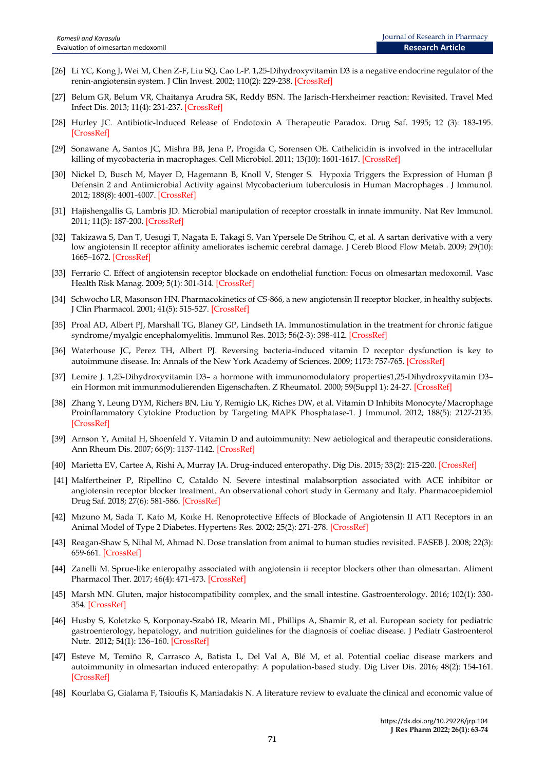- [26] Li YC, Kong J, Wei M, Chen Z-F, Liu SQ, Cao L-P. 1,25-Dihydroxyvitamin D3 is a negative endocrine regulator of the renin-angiotensin system. J Clin Invest. 2002; 110(2): 229-238[. \[CrossRef\]](https://doi.org/10.1172/JCI15219)
- [27] Belum GR, Belum VR, Chaitanya Arudra SK, Reddy BSN. The Jarisch-Herxheimer reaction: Revisited. Travel Med Infect Dis. 2013; 11(4): 231-237[. \[CrossRef\]](https://doi.org/10.1016/j.tmaid.2013.04.001)
- [28] Hurley JC. Antibiotic-Induced Release of Endotoxin A Therapeutic Paradox. Drug Saf. 1995; 12 (3): 183-195. [\[CrossRef\]](https://doi.org/10.2165/00002018-199512030-00004)
- [29] Sonawane A, Santos JC, Mishra BB, Jena P, Progida C, Sorensen OE. Cathelicidin is involved in the intracellular killing of mycobacteria in macrophages. Cell Microbiol. 2011; 13(10): 1601-1617[. \[CrossRef\]](https://doi.org/10.1111/j.1462-5822.2011.01644.x)
- [30] Nickel D, Busch M, Mayer D, Hagemann B, Knoll V, Stenger S. Hypoxia Triggers the Expression of Human β Defensin 2 and Antimicrobial Activity against Mycobacterium tuberculosis in Human Macrophages . J Immunol. 2012; 188(8): 4001-4007[. \[CrossRef\]](https://doi.org/10.4049/jimmunol.1100976)
- [31] Hajishengallis G, Lambris JD. Microbial manipulation of receptor crosstalk in innate immunity. Nat Rev Immunol. 2011; 11(3): 187-200. [\[CrossRef\]](https://doi.org/10.1038/nri2918)
- [32] Takizawa S, Dan T, Uesugi T, Nagata E, Takagi S, Van Ypersele De Strihou C, et al. A sartan derivative with a very low angiotensin II receptor affinity ameliorates ischemic cerebral damage. J Cereb Blood Flow Metab. 2009; 29(10): 1665–1672. [\[CrossRef\]](https://doi.org/10.1038/jcbfm.2009.82)
- [33] Ferrario C. Effect of angiotensin receptor blockade on endothelial function: Focus on olmesartan medoxomil. Vasc Health Risk Manag. 2009; 5(1): 301-314. [\[CrossRef\]](https://doi.org/10.2147/vhrm.s3141)
- [34] Schwocho LR, Masonson HN. Pharmacokinetics of CS-866, a new angiotensin II receptor blocker, in healthy subjects. J Clin Pharmacol. 2001; 41(5): 515-527. [\[CrossRef\]](https://doi.org/10.1177/00912700122010393)
- [35] Proal AD, Albert PJ, Marshall TG, Blaney GP, Lindseth IA. Immunostimulation in the treatment for chronic fatigue syndrome/myalgic encephalomyelitis. Immunol Res. 2013; 56(2-3): 398-412[. \[CrossRef\]](https://doi.org/10.1007/s12026-013-8413-z)
- [36] Waterhouse JC, Perez TH, Albert PJ. Reversing bacteria-induced vitamin D receptor dysfunction is key to autoimmune disease. In: Annals of the New York Academy of Sciences. 2009; 1173: 757-765. [\[CrossRef\]](https://doi.org/10.1111/j.1749-6632.2009.04637.x)
- [37] Lemire J. 1,25-Dihydroxyvitamin D3– a hormone with immunomodulatory properties1,25-Dihydroxyvitamin D3– ein Hormon mit immunmodulierenden Eigenschaften. Z Rheumatol. 2000; 59(Suppl 1): 24-27. [\[CrossRef\]](https://doi.org/10.1007/s003930070034)
- [38] Zhang Y, Leung DYM, Richers BN, Liu Y, Remigio LK, Riches DW, et al. Vitamin D Inhibits Monocyte/Macrophage Proinflammatory Cytokine Production by Targeting MAPK Phosphatase-1. J Immunol. 2012; 188(5): 2127-2135. [\[CrossRef\]](https://doi.org/10.4049/jimmunol.1102412)
- [39] Arnson Y, Amital H, Shoenfeld Y. Vitamin D and autoimmunity: New aetiological and therapeutic considerations. Ann Rheum Dis. 2007; 66(9): 1137-1142. [\[CrossRef\]](https://doi.org/10.1136/ard.2007.069831)
- [40] Marietta EV, Cartee A, Rishi A, Murray JA. Drug-induced enteropathy. Dig Dis. 2015; 33(2): 215-220. [\[CrossRef\]](https://doi.org/10.1159/000370205)
- [41] Malfertheiner P, Ripellino C, Cataldo N. Severe intestinal malabsorption associated with ACE inhibitor or angiotensin receptor blocker treatment. An observational cohort study in Germany and Italy. Pharmacoepidemiol Drug Saf. 2018; 27(6): 581-586. [\[CrossRef\]](https://doi.org/10.1002/pds.4402)
- [42] Mızuno M, Sada T, Kato M, Koıke H. Renoprotective Effects of Blockade of Angiotensin II AT1 Receptors in an Animal Model of Type 2 Diabetes. Hypertens Res. 2002; 25(2): 271-278[. \[CrossRef\]](https://doi.org/10.1291/hypres.25.271)
- [43] Reagan-Shaw S, Nihal M, Ahmad N. Dose translation from animal to human studies revisited. FASEB J. 2008; 22(3): 659-661[. \[CrossRef\]](https://doi.org/10.1096/fj.07-9574LSF)
- [44] Zanelli M. Sprue-like enteropathy associated with angiotensin ii receptor blockers other than olmesartan. Aliment Pharmacol Ther. 2017; 46(4): 471-473. [\[CrossRef\]](https://doi.org/10.1111/apt.14176)
- [45] Marsh MN. Gluten, major histocompatibility complex, and the small intestine. Gastroenterology. 2016; 102(1): 330- 354. [\[CrossRef\]](https://doi.org/10.1016/0016-5085(92)91819-p)
- [46] Husby S, Koletzko S, Korponay-Szabó IR, Mearin ML, Phillips A, Shamir R, et al. European society for pediatric gastroenterology, hepatology, and nutrition guidelines for the diagnosis of coeliac disease. J Pediatr Gastroenterol Nutr. 2012; 54(1): 136–160[. \[CrossRef\]](https://doi.org/10.1097/MPG.0b013e31821a23d0)
- [47] Esteve M, Temiño R, Carrasco A, Batista L, Del Val A, Blé M, et al. Potential coeliac disease markers and autoimmunity in olmesartan induced enteropathy: A population-based study. Dig Liver Dis. 2016; 48(2): 154-161. [\[CrossRef\]](https://doi.org/10.1016/j.dld.2015.09.014)
- [48] Kourlaba G, Gialama F, Tsioufis K, Maniadakis N. A literature review to evaluate the clinical and economic value of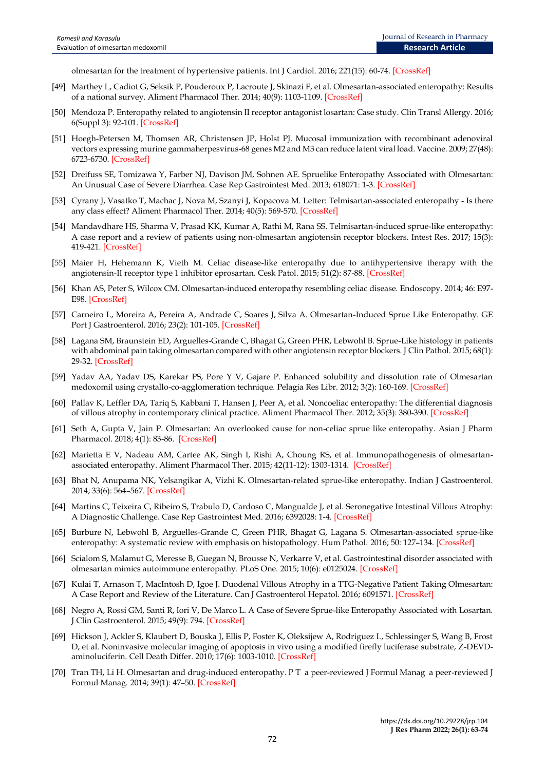olmesartan for the treatment of hypertensive patients. Int J Cardiol. 2016; 221(15): 60-74[. \[CrossRef\]](https://doi.org/10.1016/j.ijcard.2016.06.115)

- [49] Marthey L, Cadiot G, Seksik P, Pouderoux P, Lacroute J, Skinazi F, et al. Olmesartan-associated enteropathy: Results of a national survey. Aliment Pharmacol Ther. 2014; 40(9): 1103-1109. [\[CrossRef\]](https://doi.org/10.1111/apt.12937)
- [50] Mendoza P. Enteropathy related to angiotensin II receptor antagonist losartan: Case study. Clin Transl Allergy. 2016; 6(Suppl 3): 92-101[. \[CrossRef\]](https://ctajournal.biomedcentral.com/articles/10.1186/s13601-016-0122-y)
- [51] Hoegh-Petersen M, Thomsen AR, Christensen JP, Holst PJ. Mucosal immunization with recombinant adenoviral vectors expressing murine gammaherpesvirus-68 genes M2 and M3 can reduce latent viral load. Vaccine. 2009; 27(48): 6723-6730[. \[CrossRef\]](https://doi.org/10.1016/j.vaccine.2009.08.104)
- [52] Dreifuss SE, Tomizawa Y, Farber NJ, Davison JM, Sohnen AE. Spruelike Enteropathy Associated with Olmesartan: An Unusual Case of Severe Diarrhea. Case Rep Gastrointest Med. 2013; 618071: 1-3. [\[CrossRef\]](https://doi.org/10.1155/2013/618071)
- [53] Cyrany J, Vasatko T, Machac J, Nova M, Szanyi J, Kopacova M. Letter: Telmisartan-associated enteropathy Is there any class effect? Aliment Pharmacol Ther. 2014; 40(5): 569-570. [\[CrossRef\]](https://doi.org/10.1111/apt.12850)
- [54] Mandavdhare HS, Sharma V, Prasad KK, Kumar A, Rathi M, Rana SS. Telmisartan-induced sprue-like enteropathy: A case report and a review of patients using non-olmesartan angiotensin receptor blockers. Intest Res. 2017; 15(3): 419-421[. \[CrossRef\]](https://doi.org/10.5217/ir.2017.15.3.419)
- [55] Maier H, Hehemann K, Vieth M. Celiac disease-like enteropathy due to antihypertensive therapy with the angiotensin-II receptor type 1 inhibitor eprosartan. Cesk Patol. 2015; 51(2): 87-88. [\[CrossRef\]](https://pubmed.ncbi.nlm.nih.gov/25970720/)
- [56] Khan AS, Peter S, Wilcox CM. Olmesartan-induced enteropathy resembling celiac disease. Endoscopy. 2014; 46: E97- E98. [\[CrossRef\]](https://doi.org/10.1055/s-0033-1359132)
- [57] Carneiro L, Moreira A, Pereira A, Andrade C, Soares J, Silva A. Olmesartan-Induced Sprue Like Enteropathy. GE Port J Gastroenterol. 2016; 23(2): 101-105. [\[CrossRef\]](https://doi.org/10.1016/j.jpge.2015.12.003)
- [58] Lagana SM, Braunstein ED, Arguelles-Grande C, Bhagat G, Green PHR, Lebwohl B. Sprue-Like histology in patients with abdominal pain taking olmesartan compared with other angiotensin receptor blockers. J Clin Pathol. 2015; 68(1): 29-32[. \[CrossRef\]](https://doi.org/10.1136/jclinpath-2014-202615)
- [59] Yadav AA, Yadav DS, Karekar PS, Pore Y V, Gajare P. Enhanced solubility and dissolution rate of Olmesartan medoxomil using crystallo-co-agglomeration technique. Pelagia Res Libr. 2012; 3(2): 160-169. [\[CrossRef\]](https://www.semanticscholar.org/paper/Enhanced-solubility-and-dissolution-rate-of-using-Yadav-Yadav/399474ff07c7ce4b685529198d8ce56090af444c)
- [60] Pallav K, Leffler DA, Tariq S, Kabbani T, Hansen J, Peer A, et al. Noncoeliac enteropathy: The differential diagnosis of villous atrophy in contemporary clinical practice. Aliment Pharmacol Ther. 2012; 35(3): 380-390[. \[CrossRef\]](https://doi.org/10.1111/j.1365-2036.2011.04938.x)
- [61] Seth A, Gupta V, Jain P. Olmesartan: An overlooked cause for non-celiac sprue like enteropathy. Asian J Pharm Pharmacol. 2018; 4(1): 83-86. [\[CrossRef\]](https://doi.org/10.31024/ajpp.2018.4.1.15)
- [62] Marietta E V, Nadeau AM, Cartee AK, Singh I, Rishi A, Choung RS, et al. Immunopathogenesis of olmesartanassociated enteropathy. Aliment Pharmacol Ther. 2015; 42(11-12): 1303-1314. [\[CrossRef\]](https://doi.org/10.1111/apt.13413)
- [63] Bhat N, Anupama NK, Yelsangikar A, Vizhi K. Olmesartan-related sprue-like enteropathy. Indian J Gastroenterol. 2014; 33(6): 564–567[. \[CrossRef\]](https://doi.org/10.1007/s12664-014-0506-7)
- [64] Martins C, Teixeira C, Ribeiro S, Trabulo D, Cardoso C, Mangualde J, et al. Seronegative Intestinal Villous Atrophy: A Diagnostic Challenge. Case Rep Gastrointest Med. 2016; 6392028: 1-4. [\[CrossRef\]](https://doi.org/10.1155/2016/6392028)
- [65] Burbure N, Lebwohl B, Arguelles-Grande C, Green PHR, Bhagat G, Lagana S. Olmesartan-associated sprue-like enteropathy: A systematic review with emphasis on histopathology. Hum Pathol. 2016; 50: 127–134[. \[CrossRef\]](https://doi.org/10.1016/j.humpath.2015.12.001)
- [66] Scialom S, Malamut G, Meresse B, Guegan N, Brousse N, Verkarre V, et al. Gastrointestinal disorder associated with olmesartan mimics autoimmune enteropathy. PLoS One. 2015; 10(6): e0125024. [\[CrossRef\]](https://doi.org/10.1371/journal.pone.0125024)
- [67] Kulai T, Arnason T, MacIntosh D, Igoe J. Duodenal Villous Atrophy in a TTG-Negative Patient Taking Olmesartan: A Case Report and Review of the Literature. Can J Gastroenterol Hepatol. 2016; 6091571. [\[CrossRef\]](https://doi.org/10.1155/2016/6091571)
- [68] Negro A, Rossi GM, Santi R, Iori V, De Marco L. A Case of Severe Sprue-like Enteropathy Associated with Losartan. J Clin Gastroenterol. 2015; 49(9): 794. [\[CrossRef\]](https://doi.org/10.1097/MCG.0000000000000383)
- [69] Hickson J, Ackler S, Klaubert D, Bouska J, Ellis P, Foster K, Oleksijew A, Rodriguez L, Schlessinger S, Wang B, Frost D, et al. Noninvasive molecular imaging of apoptosis in vivo using a modified firefly luciferase substrate, Z-DEVDaminoluciferin. Cell Death Differ. 2010; 17(6): 1003-1010[. \[CrossRef\]](http://dx.doi.org/10.1038/cdd.2009.205)
- [70] Tran TH, Li H. Olmesartan and drug-induced enteropathy. P T a peer-reviewed J Formul Manag a peer-reviewed J Formul Manag. 2014; 39(1): 47–50[. \[CrossRef\]](https://pubmed.ncbi.nlm.nih.gov/24672214/)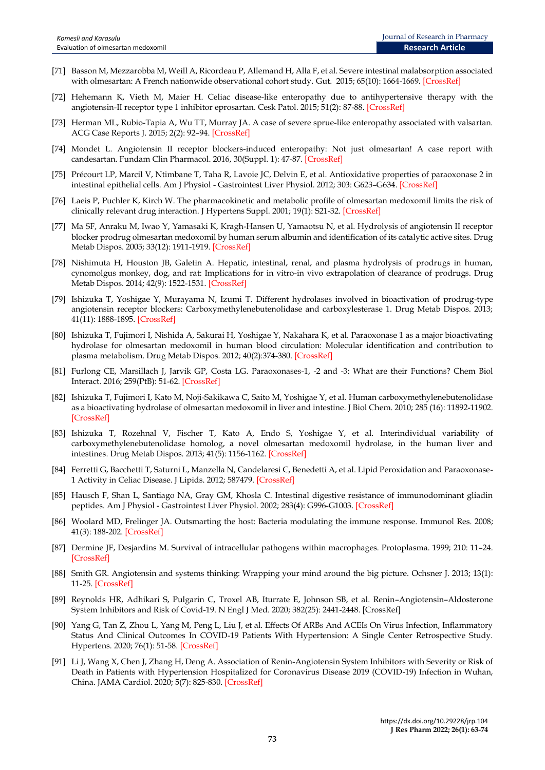- [71] Basson M, Mezzarobba M, Weill A, Ricordeau P, Allemand H, Alla F, et al. Severe intestinal malabsorption associated with olmesartan: A French nationwide observational cohort study. Gut. 2015; 65(10): 1664-1669. [\[CrossRef\]](https://doi.org/10.1136/gutjnl-2015-309690)
- [72] Hehemann K, Vieth M, Maier H. Celiac disease-like enteropathy due to antihypertensive therapy with the angiotensin-II receptor type 1 inhibitor eprosartan. Cesk Patol. 2015; 51(2): 87-88[. \[CrossRef\]](https://www.prolekare.cz/en/journals/czecho-slovak-pathology/2015-2-7/celiac-disease-like-enteropathy-due-to-antihypertensive-therapy-with-the-angiotensin-ii-receptor-type-1-inhibitor-eprosartan-52061)
- [73] Herman ML, Rubio-Tapia A, Wu TT, Murray JA. A case of severe sprue-like enteropathy associated with valsartan. ACG Case Reports J. 2015; 2(2): 92–94[. \[CrossRef\]](https://doi.org/10.14309/crj.2015.15)
- [74] Mondet L. Angiotensin II receptor blockers-induced enteropathy: Not just olmesartan! A case report with candesartan. Fundam Clin Pharmacol. 2016, 30(Suppl. 1): 47-87. [\[CrossRef\]](http://doi.org/10.1111/fcp.12190)
- [75] Précourt LP, Marcil V, Ntimbane T, Taha R, Lavoie JC, Delvin E, et al. Antioxidative properties of paraoxonase 2 in intestinal epithelial cells. Am J Physiol - Gastrointest Liver Physiol. 2012; 303: G623–G634. [\[CrossRef\]](https://doi.org/10.1152/ajpgi.00039.2012)
- [76] Laeis P, Puchler K, Kirch W. The pharmacokinetic and metabolic profile of olmesartan medoxomil limits the risk of clinically relevant drug interaction. J Hypertens Suppl. 2001; 19(1): S21-32[. \[CrossRef\]](https://doi.org/10.1097/00004872-200106001-00004)
- [77] Ma SF, Anraku M, Iwao Y, Yamasaki K, Kragh-Hansen U, Yamaotsu N, et al. Hydrolysis of angiotensin II receptor blocker prodrug olmesartan medoxomil by human serum albumin and identification of its catalytic active sites. Drug Metab Dispos. 2005; 33(12): 1911-1919. [\[CrossRef\]](https://doi.org/10.1124/dmd.105.006163)
- [78] Nishimuta H, Houston JB, Galetin A. Hepatic, intestinal, renal, and plasma hydrolysis of prodrugs in human, cynomolgus monkey, dog, and rat: Implications for in vitro-in vivo extrapolation of clearance of prodrugs. Drug Metab Dispos. 2014; 42(9): 1522-1531. [\[CrossRef\]](https://doi.org/10.1124/dmd.114.057372)
- [79] Ishizuka T, Yoshigae Y, Murayama N, Izumi T. Different hydrolases involved in bioactivation of prodrug-type angiotensin receptor blockers: Carboxymethylenebutenolidase and carboxylesterase 1. Drug Metab Dispos. 2013; 41(11): 1888-1895. [\[CrossRef\]](https://doi.org/10.1124/dmd.113.053595)
- [80] Ishizuka T, Fujimori I, Nishida A, Sakurai H, Yoshigae Y, Nakahara K, et al. Paraoxonase 1 as a major bioactivating hydrolase for olmesartan medoxomil in human blood circulation: Molecular identification and contribution to plasma metabolism. Drug Metab Dispos. 2012; 40(2):374-380. [\[CrossRef\]](https://doi.org/10.1124/dmd.111.041475)
- [81] Furlong CE, Marsillach J, Jarvik GP, Costa LG. Paraoxonases-1, -2 and -3: What are their Functions? Chem Biol Interact. 2016; 259(PtB): 51-62. [\[CrossRef\]](https://dx.doi.org/10.1016%2Fj.cbi.2016.05.036)
- [82] Ishizuka T, Fujimori I, Kato M, Noji-Sakikawa C, Saito M, Yoshigae Y, et al. Human carboxymethylenebutenolidase as a bioactivating hydrolase of olmesartan medoxomil in liver and intestine. J Biol Chem. 2010; 285 (16): 11892-11902. [\[CrossRef\]](https://doi.org/10.1074/jbc.M109.072629)
- [83] Ishizuka T, Rozehnal V, Fischer T, Kato A, Endo S, Yoshigae Y, et al. Interindividual variability of carboxymethylenebutenolidase homolog, a novel olmesartan medoxomil hydrolase, in the human liver and intestines. Drug Metab Dispos. 2013; 41(5): 1156-1162[. \[CrossRef\]](https://doi.org/10.1124/dmd.113.051482)
- [84] Ferretti G, Bacchetti T, Saturni L, Manzella N, Candelaresi C, Benedetti A, et al. Lipid Peroxidation and Paraoxonase-1 Activity in Celiac Disease. J Lipids. 2012; 587479. [\[CrossRef\]](https://doi.org/10.1155/2012/587479)
- [85] Hausch F, Shan L, Santiago NA, Gray GM, Khosla C. Intestinal digestive resistance of immunodominant gliadin peptides. Am J Physiol - Gastrointest Liver Physiol. 2002; 283(4): G996-G1003. [\[CrossRef\]](https://doi.org/10.1152/ajpgi.00136.2002)
- [86] Woolard MD, Frelinger JA. Outsmarting the host: Bacteria modulating the immune response. Immunol Res. 2008; 41(3): 188-202. [\[CrossRef\]](https://doi.org/10.1007/s12026-008-8021-5)
- [87] Dermine JF, Desjardins M. Survival of intracellular pathogens within macrophages. Protoplasma. 1999; 210: 11–24. [\[CrossRef\]](https://link.springer.com/article/10.1007/BF01314950)
- [88] Smith GR. Angiotensin and systems thinking: Wrapping your mind around the big picture. Ochsner J. 2013; 13(1): 11-25. [\[CrossRef\]](https://www.ncbi.nlm.nih.gov/pmc/articles/PMC3603174/)
- [89] Reynolds HR, Adhikari S, Pulgarin C, Troxel AB, Iturrate E, Johnson SB, et al. Renin–Angiotensin–Aldosterone System Inhibitors and Risk of Covid-19. N Engl J Med. 2020; 382(25): 2441-2448. [\[CrossRef\]](https://doi.org/10.1056/NEJMoa2008975)
- [90] Yang G, Tan Z, Zhou L, Yang M, Peng L, Liu J, et al. Effects Of ARBs And ACEIs On Virus Infection, Inflammatory Status And Clinical Outcomes In COVID-19 Patients With Hypertension: A Single Center Retrospective Study. Hypertens. 2020; 76(1): 51-58[. \[CrossRef\]](https://doi.org/10.1161/HYPERTENSIONAHA.120.15143)
- [91] Li J, Wang X, Chen J, Zhang H, Deng A. Association of Renin-Angiotensin System Inhibitors with Severity or Risk of Death in Patients with Hypertension Hospitalized for Coronavirus Disease 2019 (COVID-19) Infection in Wuhan, China. JAMA Cardiol. 2020; 5(7): 825-830. [\[CrossRef\]](https://doi.org/10.1001/jamacardio.2020.1624)